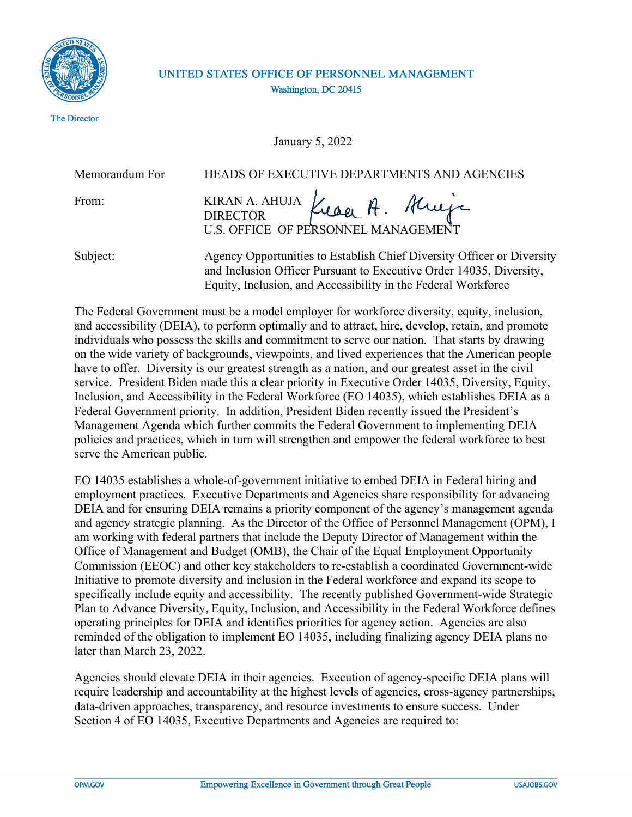

The Director

## UNITED STATES OFFICE OF PERSONNEL MANAGEMENT Washington, DC 20415

January 5, 2022

Memorandum For HEADS OF EXECUTIVE DEPARTMENTS AND AGENCIES

Kraak. Krieje From: **KIRAN A. AHUJA DIRECTOR** U.S. OFFICE OF PERSONNEL MANA

Subject: Agency Opportunities to Establish Chief Diversity Officer or Diversity and Inclusion Officer Pursuant to Executive Order 14035, Diversity, Equity, Inclusion, and Accessibility in the Federal Workforce

The Federal Government must be a model employer for workforce diversity, equity, inclusion, and accessibility (DEIA), to perform optimally and to attract, hire, develop, retain, and promote individuals who possess the skills and commitment to serve our nation. That starts by drawing on the wide variety of backgrounds, viewpoints, and lived experiences that the American people have to offer. Diversity is our greatest strength as a nation, and our greatest asset in the civil service. President Biden made this a clear priority in Executive Order 14035, Diversity, Equity, Inclusion, and Accessibility in the Federal Workforce (EO 14035), which establishes DEIA as a Federal Government priority. In addition, President Biden recently issued the President's Management Agenda which further commits the Federal Government to implementing DEIA policies and practices, which in turn will strengthen and empower the federal workforce to best serve the American public.

EO 14035 establishes a whole-of-government initiative to embed DEIA in Federal hiring and employment practices. Executive Departments and Agencies share responsibility for advancing DEIA and for ensuring DEIA remains a priority component of the agency's management agenda and agency strategic planning. As the Director of the Office of Personnel Management (OPM), I am working with federal partners that include the Deputy Director of Management within the Office of Management and Budget (OMB), the Chair of the Equal Employment Opportunity Commission (EEOC) and other key stakeholders to re-establish a coordinated Government-wide Initiative to promote diversity and inclusion in the Federal workforce and expand its scope to specifically include equity and accessibility. The recently published Government-wide Strategic Plan to Advance Diversity, Equity, Inclusion, and Accessibility in the Federal Workforce defines operating principles for DEIA and identifies priorities for agency action. Agencies are also reminded of the obligation to implement EO 14035, including finalizing agency DEIA plans no later than March 23, 2022.

Agencies should elevate DEIA in their agencies. Execution of agency-specific DEIA plans will require leadership and accountability at the highest levels of agencies, cross-agency partnerships, data-driven approaches, transparency, and resource investments to ensure success. Under Section 4 of EO 14035, Executive Departments and Agencies are required to: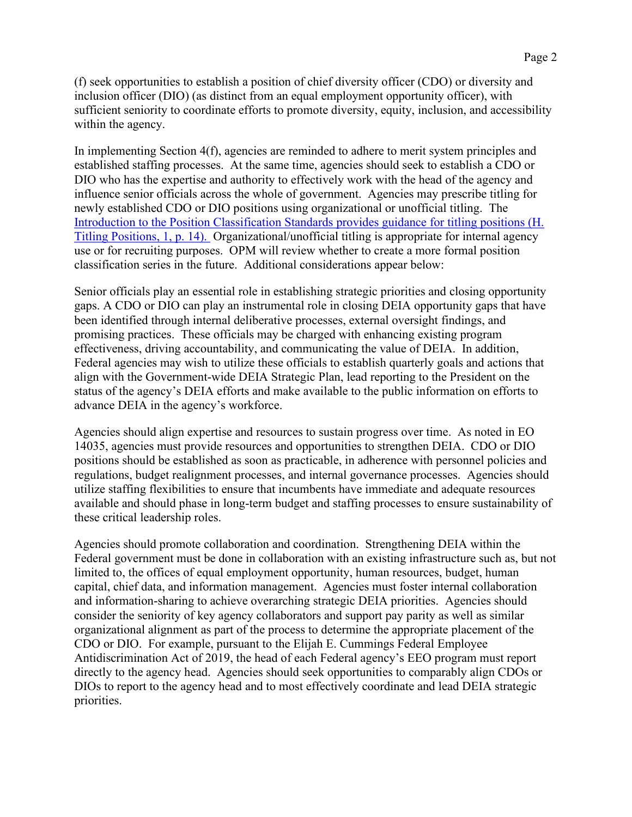(f) seek opportunities to establish a position of chief diversity officer (CDO) or diversity and inclusion officer (DIO) (as distinct from an equal employment opportunity officer), with sufficient seniority to coordinate efforts to promote diversity, equity, inclusion, and accessibility within the agency.

In implementing Section 4(f), agencies are reminded to adhere to merit system principles and established staffing processes. At the same time, agencies should seek to establish a CDO or DIO who has the expertise and authority to effectively work with the head of the agency and influence senior officials across the whole of government. Agencies may prescribe titling for newly established CDO or DIO positions using organizational or unofficial titling. The [Introduction to the Position Classification Standards provides guidance for titling positions \(H.](https://www.opm.gov/policy-data-oversight/classification-qualifications/classifying-general-schedule-positions/positionclassificationintro.pdf) Titling Positions, 1, p. 14). Organizational/unofficial titling is appropriate for internal agency use or for recruiting purposes. OPM will review whether to create a more formal position classification series in the future. Additional considerations appear below:

Senior officials play an essential role in establishing strategic priorities and closing opportunity gaps. A CDO or DIO can play an instrumental role in closing DEIA opportunity gaps that have been identified through internal deliberative processes, external oversight findings, and promising practices. These officials may be charged with enhancing existing program effectiveness, driving accountability, and communicating the value of DEIA. In addition, Federal agencies may wish to utilize these officials to establish quarterly goals and actions that align with the Government-wide DEIA Strategic Plan, lead reporting to the President on the status of the agency's DEIA efforts and make available to the public information on efforts to advance DEIA in the agency's workforce.

Agencies should align expertise and resources to sustain progress over time. As noted in EO 14035, agencies must provide resources and opportunities to strengthen DEIA. CDO or DIO positions should be established as soon as practicable, in adherence with personnel policies and regulations, budget realignment processes, and internal governance processes. Agencies should utilize staffing flexibilities to ensure that incumbents have immediate and adequate resources available and should phase in long-term budget and staffing processes to ensure sustainability of these critical leadership roles.

Agencies should promote collaboration and coordination. Strengthening DEIA within the Federal government must be done in collaboration with an existing infrastructure such as, but not limited to, the offices of equal employment opportunity, human resources, budget, human capital, chief data, and information management. Agencies must foster internal collaboration and information-sharing to achieve overarching strategic DEIA priorities. Agencies should consider the seniority of key agency collaborators and support pay parity as well as similar organizational alignment as part of the process to determine the appropriate placement of the CDO or DIO. For example, pursuant to the Elijah E. Cummings Federal Employee Antidiscrimination Act of 2019, the head of each Federal agency's EEO program must report directly to the agency head. Agencies should seek opportunities to comparably align CDOs or DIOs to report to the agency head and to most effectively coordinate and lead DEIA strategic priorities.